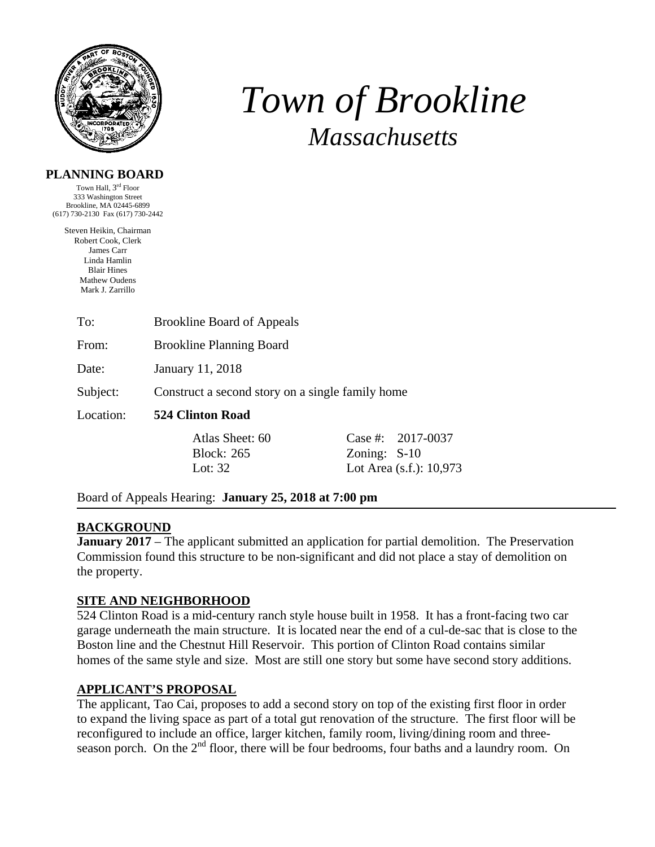

# *Town of Brookline Massachusetts*

### **PLANNING BOARD**

Town Hall, 3rd Floor 333 Washington Street Brookline, MA 02445-6899 (617) 730-2130 Fax (617) 730-2442

Steven Heikin, Chairman Robert Cook, Clerk James Carr Linda Hamlin Blair Hines Mathew Oudens Mark J. Zarrillo

| To:   | <b>Brookline Board of Appeals</b> |
|-------|-----------------------------------|
| From: | <b>Brookline Planning Board</b>   |
| Date: | January 11, 2018                  |

Subject: Construct a second story on a single family home

Location: **524 Clinton Road** 

Block: 265 Zoning: S-10

Atlas Sheet: 60 Case #: 2017-0037 Lot: 32 **Lot Area** (s.f.): 10,973

Board of Appeals Hearing: **January 25, 2018 at 7:00 pm** 

## **BACKGROUND**

**January 2017** – The applicant submitted an application for partial demolition. The Preservation Commission found this structure to be non-significant and did not place a stay of demolition on the property.

## **SITE AND NEIGHBORHOOD**

524 Clinton Road is a mid-century ranch style house built in 1958. It has a front-facing two car garage underneath the main structure. It is located near the end of a cul-de-sac that is close to the Boston line and the Chestnut Hill Reservoir. This portion of Clinton Road contains similar homes of the same style and size. Most are still one story but some have second story additions.

## **APPLICANT'S PROPOSAL**

The applicant, Tao Cai, proposes to add a second story on top of the existing first floor in order to expand the living space as part of a total gut renovation of the structure. The first floor will be reconfigured to include an office, larger kitchen, family room, living/dining room and threeseason porch. On the 2<sup>nd</sup> floor, there will be four bedrooms, four baths and a laundry room. On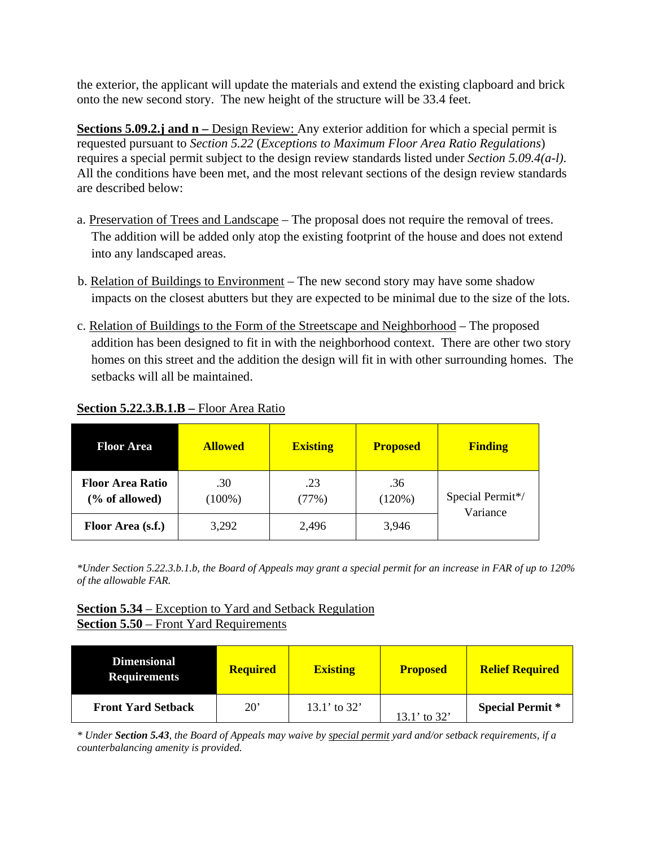the exterior, the applicant will update the materials and extend the existing clapboard and brick onto the new second story. The new height of the structure will be 33.4 feet.

**Sections 5.09.2.j and n** – Design Review: Any exterior addition for which a special permit is requested pursuant to *Section 5.22* (*Exceptions to Maximum Floor Area Ratio Regulations*) requires a special permit subject to the design review standards listed under *Section 5.09.4(a-l)*. All the conditions have been met, and the most relevant sections of the design review standards are described below:

- a. Preservation of Trees and Landscape The proposal does not require the removal of trees. The addition will be added only atop the existing footprint of the house and does not extend into any landscaped areas.
- b. Relation of Buildings to Environment The new second story may have some shadow impacts on the closest abutters but they are expected to be minimal due to the size of the lots.
- c. Relation of Buildings to the Form of the Streetscape and Neighborhood The proposed addition has been designed to fit in with the neighborhood context. There are other two story homes on this street and the addition the design will fit in with other surrounding homes. The setbacks will all be maintained.

| <b>Floor Area</b>                         | <b>Allowed</b>   | <b>Existing</b> | <b>Proposed</b> | <b>Finding</b>               |
|-------------------------------------------|------------------|-----------------|-----------------|------------------------------|
| <b>Floor Area Ratio</b><br>(% of allowed) | .30<br>$(100\%)$ | .23<br>(77%)    | .36<br>(120%)   | Special Permit*/<br>Variance |
| Floor Area (s.f.)                         | 3,292            | 2,496           | 3,946           |                              |

# **Section 5.22.3.B.1.B –** Floor Area Ratio

*\*Under Section 5.22.3.b.1.b, the Board of Appeals may grant a special permit for an increase in FAR of up to 120% of the allowable FAR.* 

# **Section 5.34** – Exception to Yard and Setback Regulation **Section 5.50** – Front Yard Requirements

| <b>Dimensional</b><br><b>Requirements</b> | <b>Required</b> | <b>Existing</b> | <b>Proposed</b>  | <b>Relief Required</b>  |
|-------------------------------------------|-----------------|-----------------|------------------|-------------------------|
| <b>Front Yard Setback</b>                 | $20^{\circ}$    | 13.1' to $32'$  | $13.1'$ to $32'$ | <b>Special Permit</b> * |

*\* Under Section 5.43, the Board of Appeals may waive by special permit yard and/or setback requirements, if a counterbalancing amenity is provided.*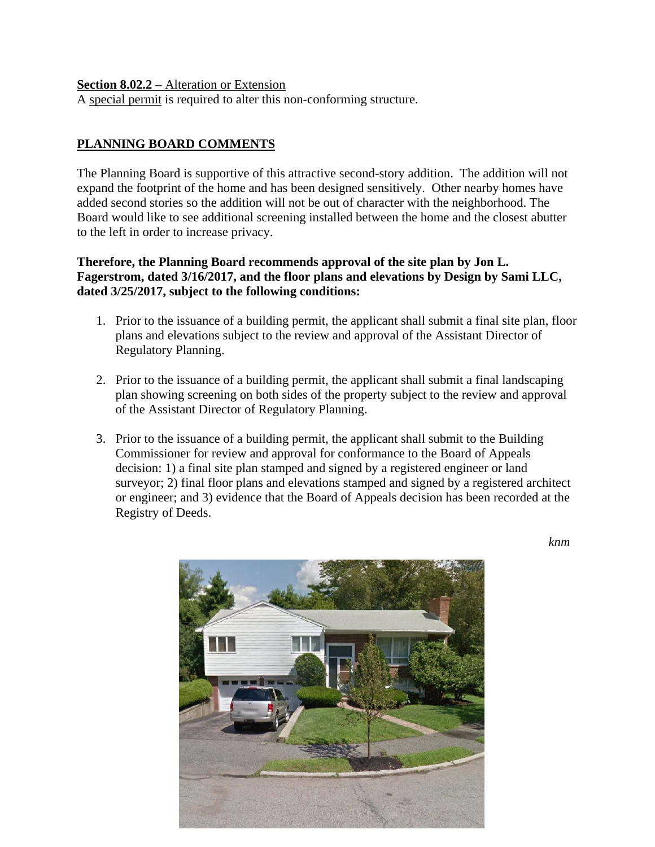#### **Section 8.02.2** – Alteration or Extension

A special permit is required to alter this non-conforming structure.

## **PLANNING BOARD COMMENTS**

The Planning Board is supportive of this attractive second-story addition. The addition will not expand the footprint of the home and has been designed sensitively. Other nearby homes have added second stories so the addition will not be out of character with the neighborhood. The Board would like to see additional screening installed between the home and the closest abutter to the left in order to increase privacy.

## **Therefore, the Planning Board recommends approval of the site plan by Jon L. Fagerstrom, dated 3/16/2017, and the floor plans and elevations by Design by Sami LLC, dated 3/25/2017, subject to the following conditions:**

- 1. Prior to the issuance of a building permit, the applicant shall submit a final site plan, floor plans and elevations subject to the review and approval of the Assistant Director of Regulatory Planning.
- 2. Prior to the issuance of a building permit, the applicant shall submit a final landscaping plan showing screening on both sides of the property subject to the review and approval of the Assistant Director of Regulatory Planning.
- 3. Prior to the issuance of a building permit, the applicant shall submit to the Building Commissioner for review and approval for conformance to the Board of Appeals decision: 1) a final site plan stamped and signed by a registered engineer or land surveyor; 2) final floor plans and elevations stamped and signed by a registered architect or engineer; and 3) evidence that the Board of Appeals decision has been recorded at the Registry of Deeds.

 *knm* 

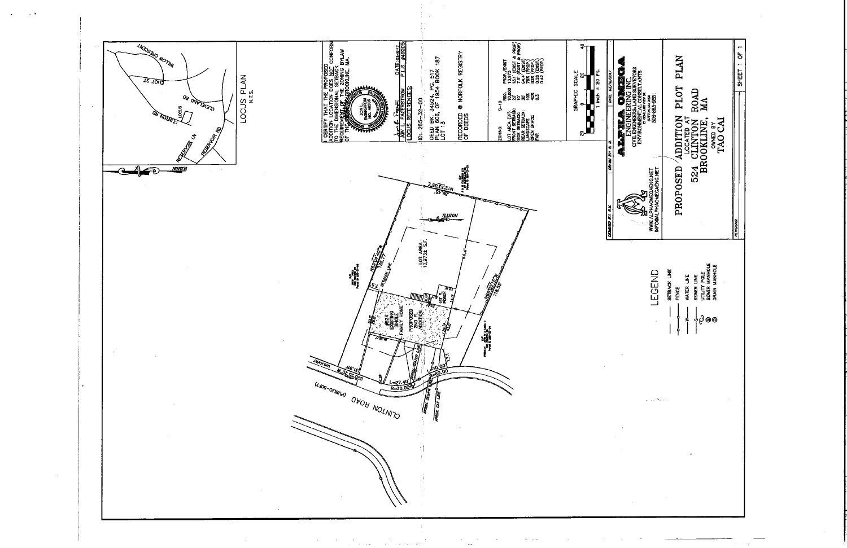

 $\sim 20$ 

 $\hat{\phi}$  ,  $\hat{\phi}$  ,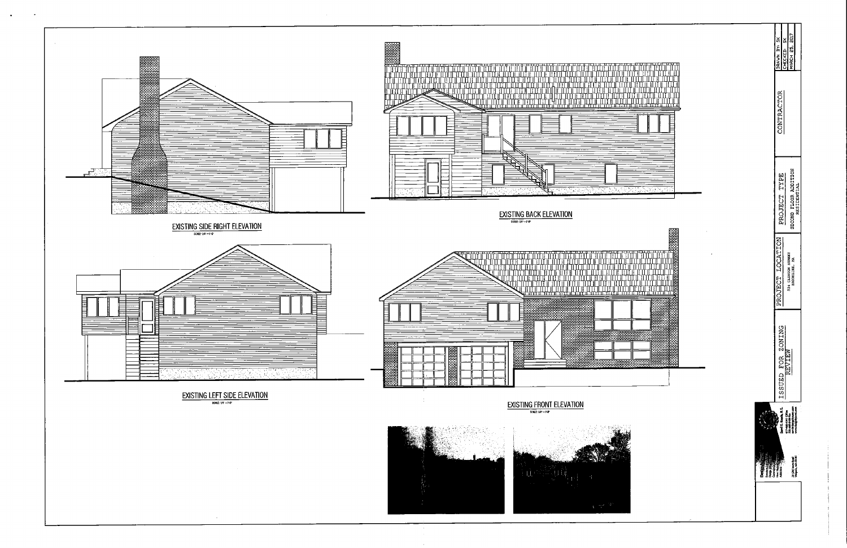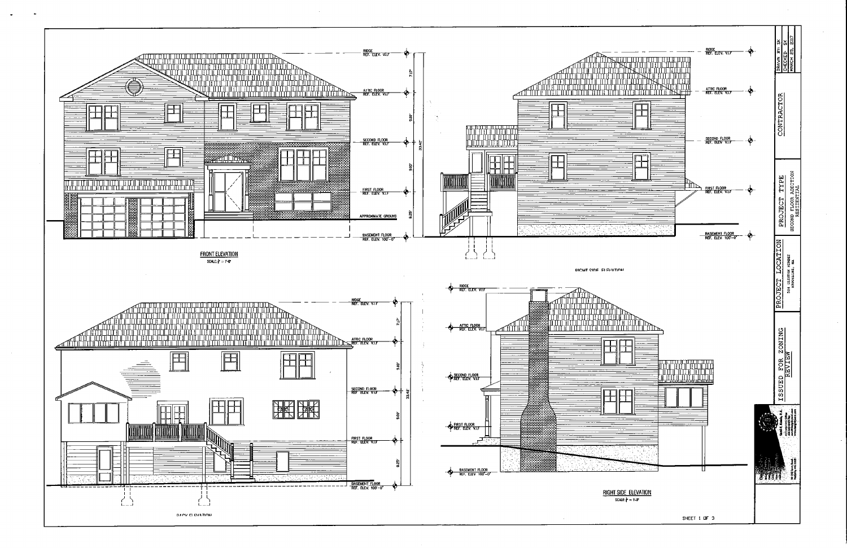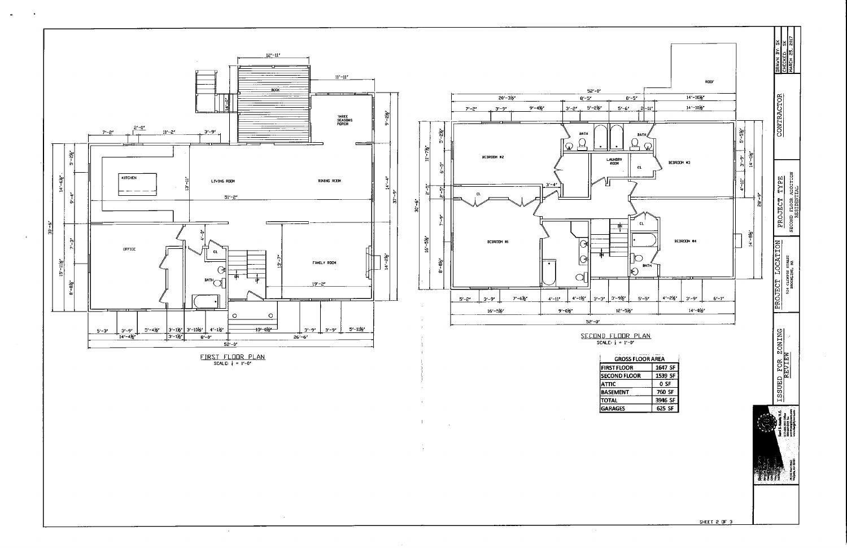